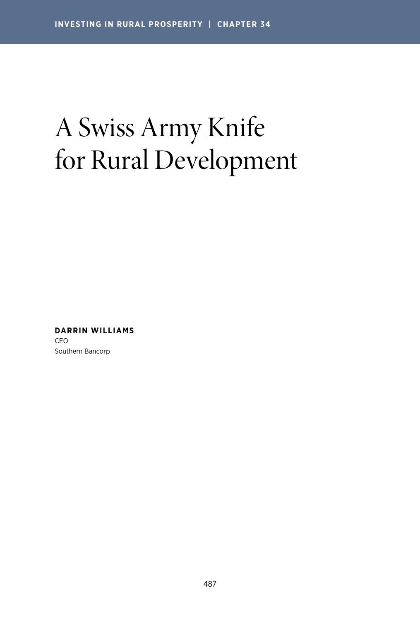# A Swiss Army Knife for Rural Development

**DARRIN WILLIAMS**  CEO Southern Bancorp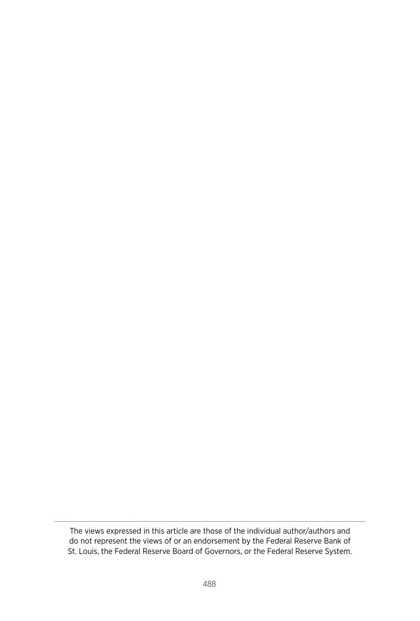The views expressed in this article are those of the individual author/authors and do not represent the views of or an endorsement by the Federal Reserve Bank of St. Louis, the Federal Reserve Board of Governors, or the Federal Reserve System.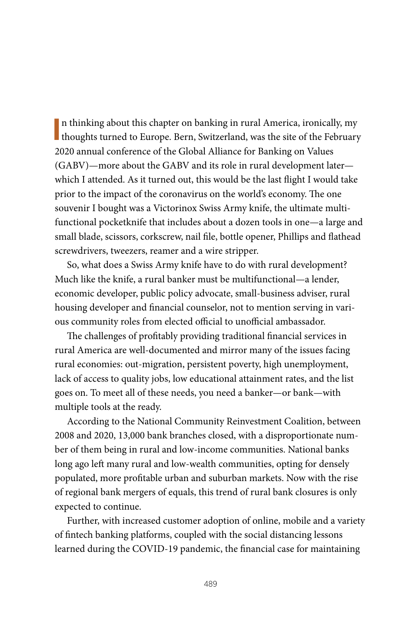In thinking about this chapter on banking in rural America, ironically, my thoughts turned to Europe. Bern, Switzerland, was the site of the February n thinking about this chapter on banking in rural America, ironically, my 2020 annual conference of the Global Alliance for Banking on Values (GABV)—more about the GABV and its role in rural development later which I attended. As it turned out, this would be the last flight I would take prior to the impact of the coronavirus on the world's economy. The one souvenir I bought was a Victorinox Swiss Army knife, the ultimate multifunctional pocketknife that includes about a dozen tools in one—a large and small blade, scissors, corkscrew, nail file, bottle opener, Phillips and flathead screwdrivers, tweezers, reamer and a wire stripper.

So, what does a Swiss Army knife have to do with rural development? Much like the knife, a rural banker must be multifunctional—a lender, economic developer, public policy advocate, small-business adviser, rural housing developer and financial counselor, not to mention serving in various community roles from elected official to unofficial ambassador.

The challenges of profitably providing traditional financial services in rural America are well-documented and mirror many of the issues facing rural economies: out-migration, persistent poverty, high unemployment, lack of access to quality jobs, low educational attainment rates, and the list goes on. To meet all of these needs, you need a banker—or bank—with multiple tools at the ready.

According to the National Community Reinvestment Coalition, between 2008 and 2020, 13,000 bank branches closed, with a disproportionate number of them being in rural and low-income communities. National banks long ago left many rural and low-wealth communities, opting for densely populated, more profitable urban and suburban markets. Now with the rise of regional bank mergers of equals, this trend of rural bank closures is only expected to continue.

Further, with increased customer adoption of online, mobile and a variety of fintech banking platforms, coupled with the social distancing lessons learned during the COVID-19 pandemic, the financial case for maintaining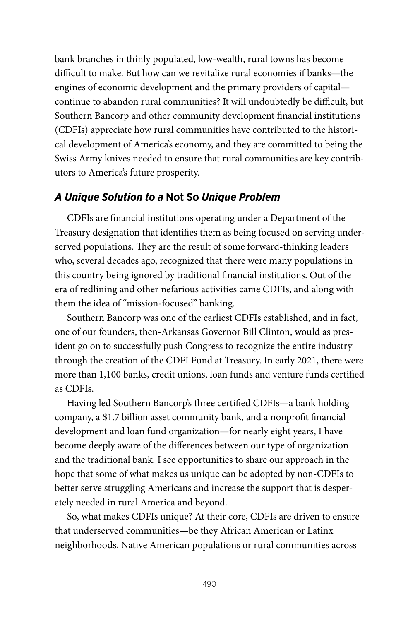bank branches in thinly populated, low-wealth, rural towns has become difficult to make. But how can we revitalize rural economies if banks—the engines of economic development and the primary providers of capital continue to abandon rural communities? It will undoubtedly be difficult, but Southern Bancorp and other community development financial institutions (CDFIs) appreciate how rural communities have contributed to the historical development of America's economy, and they are committed to being the Swiss Army knives needed to ensure that rural communities are key contributors to America's future prosperity.

## *A Unique Solution to a* **Not So** *Unique Problem*

CDFIs are financial institutions operating under a Department of the Treasury designation that identifies them as being focused on serving underserved populations. They are the result of some forward-thinking leaders who, several decades ago, recognized that there were many populations in this country being ignored by traditional financial institutions. Out of the era of redlining and other nefarious activities came CDFIs, and along with them the idea of "mission-focused" banking.

Southern Bancorp was one of the earliest CDFIs established, and in fact, one of our founders, then-Arkansas Governor Bill Clinton, would as president go on to successfully push Congress to recognize the entire industry through the creation of the CDFI Fund at Treasury. In early 2021, there were more than 1,100 banks, credit unions, loan funds and venture funds certified as CDFIs.

Having led Southern Bancorp's three certified CDFIs—a bank holding company, a \$1.7 billion asset community bank, and a nonprofit financial development and loan fund organization—for nearly eight years, I have become deeply aware of the differences between our type of organization and the traditional bank. I see opportunities to share our approach in the hope that some of what makes us unique can be adopted by non-CDFIs to better serve struggling Americans and increase the support that is desperately needed in rural America and beyond.

So, what makes CDFIs unique? At their core, CDFIs are driven to ensure that underserved communities—be they African American or Latinx neighborhoods, Native American populations or rural communities across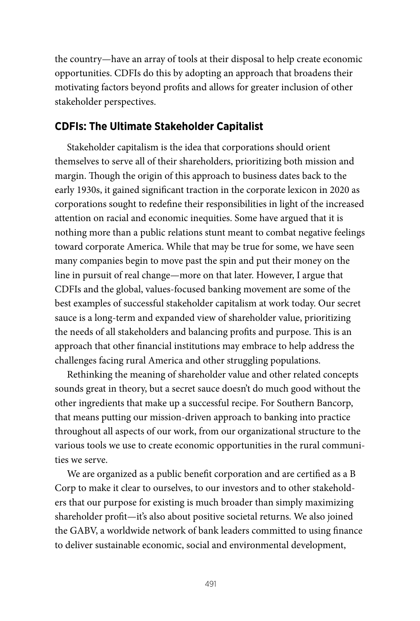the country—have an array of tools at their disposal to help create economic opportunities. CDFIs do this by adopting an approach that broadens their motivating factors beyond profits and allows for greater inclusion of other stakeholder perspectives.

### **CDFIs: The Ultimate Stakeholder Capitalist**

Stakeholder capitalism is the idea that corporations should orient themselves to serve all of their shareholders, prioritizing both mission and margin. Though the origin of this approach to business dates back to the early 1930s, it gained significant traction in the corporate lexicon in 2020 as corporations sought to redefine their responsibilities in light of the increased attention on racial and economic inequities. Some have argued that it is nothing more than a public relations stunt meant to combat negative feelings toward corporate America. While that may be true for some, we have seen many companies begin to move past the spin and put their money on the line in pursuit of real change—more on that later. However, I argue that CDFIs and the global, values-focused banking movement are some of the best examples of successful stakeholder capitalism at work today. Our secret sauce is a long-term and expanded view of shareholder value, prioritizing the needs of all stakeholders and balancing profits and purpose. This is an approach that other financial institutions may embrace to help address the challenges facing rural America and other struggling populations.

Rethinking the meaning of shareholder value and other related concepts sounds great in theory, but a secret sauce doesn't do much good without the other ingredients that make up a successful recipe. For Southern Bancorp, that means putting our mission-driven approach to banking into practice throughout all aspects of our work, from our organizational structure to the various tools we use to create economic opportunities in the rural communities we serve.

We are organized as a public benefit corporation and are certified as a B Corp to make it clear to ourselves, to our investors and to other stakeholders that our purpose for existing is much broader than simply maximizing shareholder profit—it's also about positive societal returns. We also joined the GABV, a worldwide network of bank leaders committed to using finance to deliver sustainable economic, social and environmental development,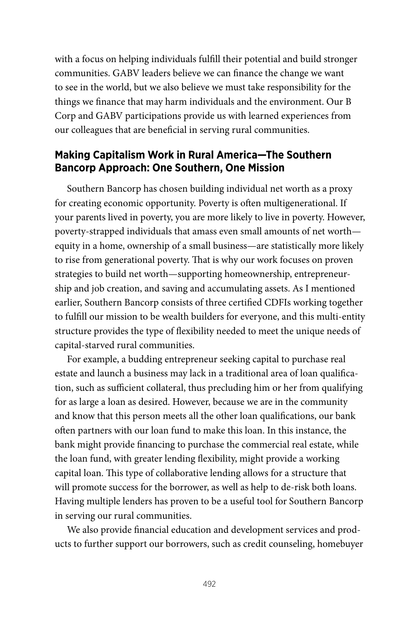with a focus on helping individuals fulfill their potential and build stronger communities. GABV leaders believe we can finance the change we want to see in the world, but we also believe we must take responsibility for the things we finance that may harm individuals and the environment. Our B Corp and GABV participations provide us with learned experiences from our colleagues that are beneficial in serving rural communities.

## **Making Capitalism Work in Rural America—The Southern Bancorp Approach: One Southern, One Mission**

Southern Bancorp has chosen building individual net worth as a proxy for creating economic opportunity. Poverty is often multigenerational. If your parents lived in poverty, you are more likely to live in poverty. However, poverty-strapped individuals that amass even small amounts of net worth equity in a home, ownership of a small business—are statistically more likely to rise from generational poverty. That is why our work focuses on proven strategies to build net worth—supporting homeownership, entrepreneurship and job creation, and saving and accumulating assets. As I mentioned earlier, Southern Bancorp consists of three certified CDFIs working together to fulfill our mission to be wealth builders for everyone, and this multi-entity structure provides the type of flexibility needed to meet the unique needs of capital-starved rural communities.

For example, a budding entrepreneur seeking capital to purchase real estate and launch a business may lack in a traditional area of loan qualification, such as sufficient collateral, thus precluding him or her from qualifying for as large a loan as desired. However, because we are in the community and know that this person meets all the other loan qualifications, our bank often partners with our loan fund to make this loan. In this instance, the bank might provide financing to purchase the commercial real estate, while the loan fund, with greater lending flexibility, might provide a working capital loan. This type of collaborative lending allows for a structure that will promote success for the borrower, as well as help to de-risk both loans. Having multiple lenders has proven to be a useful tool for Southern Bancorp in serving our rural communities.

We also provide financial education and development services and products to further support our borrowers, such as credit counseling, homebuyer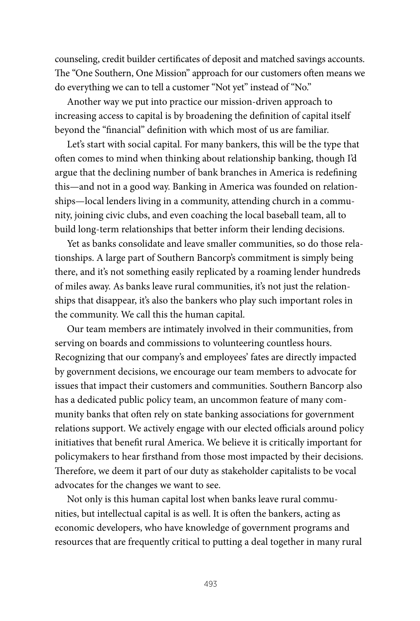counseling, credit builder certificates of deposit and matched savings accounts. The "One Southern, One Mission" approach for our customers often means we do everything we can to tell a customer "Not yet" instead of "No."

Another way we put into practice our mission-driven approach to increasing access to capital is by broadening the definition of capital itself beyond the "financial" definition with which most of us are familiar.

Let's start with social capital. For many bankers, this will be the type that often comes to mind when thinking about relationship banking, though I'd argue that the declining number of bank branches in America is redefining this—and not in a good way. Banking in America was founded on relationships—local lenders living in a community, attending church in a community, joining civic clubs, and even coaching the local baseball team, all to build long-term relationships that better inform their lending decisions.

Yet as banks consolidate and leave smaller communities, so do those relationships. A large part of Southern Bancorp's commitment is simply being there, and it's not something easily replicated by a roaming lender hundreds of miles away. As banks leave rural communities, it's not just the relationships that disappear, it's also the bankers who play such important roles in the community. We call this the human capital.

Our team members are intimately involved in their communities, from serving on boards and commissions to volunteering countless hours. Recognizing that our company's and employees' fates are directly impacted by government decisions, we encourage our team members to advocate for issues that impact their customers and communities. Southern Bancorp also has a dedicated public policy team, an uncommon feature of many community banks that often rely on state banking associations for government relations support. We actively engage with our elected officials around policy initiatives that benefit rural America. We believe it is critically important for policymakers to hear firsthand from those most impacted by their decisions. Therefore, we deem it part of our duty as stakeholder capitalists to be vocal advocates for the changes we want to see.

Not only is this human capital lost when banks leave rural communities, but intellectual capital is as well. It is often the bankers, acting as economic developers, who have knowledge of government programs and resources that are frequently critical to putting a deal together in many rural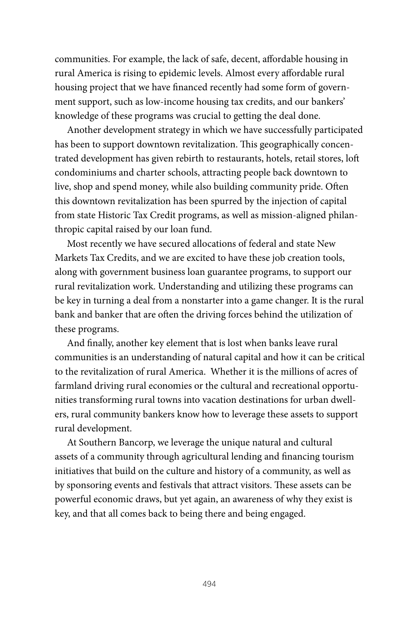communities. For example, the lack of safe, decent, affordable housing in rural America is rising to epidemic levels. Almost every affordable rural housing project that we have financed recently had some form of government support, such as low-income housing tax credits, and our bankers' knowledge of these programs was crucial to getting the deal done.

Another development strategy in which we have successfully participated has been to support downtown revitalization. This geographically concentrated development has given rebirth to restaurants, hotels, retail stores, loft condominiums and charter schools, attracting people back downtown to live, shop and spend money, while also building community pride. Often this downtown revitalization has been spurred by the injection of capital from state Historic Tax Credit programs, as well as mission-aligned philanthropic capital raised by our loan fund.

Most recently we have secured allocations of federal and state New Markets Tax Credits, and we are excited to have these job creation tools, along with government business loan guarantee programs, to support our rural revitalization work. Understanding and utilizing these programs can be key in turning a deal from a nonstarter into a game changer. It is the rural bank and banker that are often the driving forces behind the utilization of these programs.

And finally, another key element that is lost when banks leave rural communities is an understanding of natural capital and how it can be critical to the revitalization of rural America. Whether it is the millions of acres of farmland driving rural economies or the cultural and recreational opportunities transforming rural towns into vacation destinations for urban dwellers, rural community bankers know how to leverage these assets to support rural development.

At Southern Bancorp, we leverage the unique natural and cultural assets of a community through agricultural lending and financing tourism initiatives that build on the culture and history of a community, as well as by sponsoring events and festivals that attract visitors. These assets can be powerful economic draws, but yet again, an awareness of why they exist is key, and that all comes back to being there and being engaged.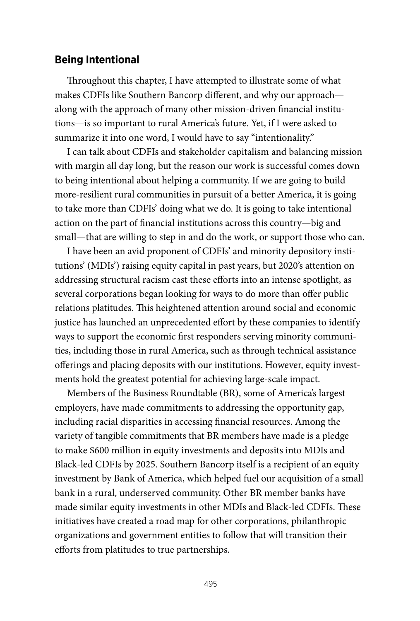#### **Being Intentional**

Throughout this chapter, I have attempted to illustrate some of what makes CDFIs like Southern Bancorp different, and why our approach along with the approach of many other mission-driven financial institutions—is so important to rural America's future. Yet, if I were asked to summarize it into one word, I would have to say "intentionality."

I can talk about CDFIs and stakeholder capitalism and balancing mission with margin all day long, but the reason our work is successful comes down to being intentional about helping a community. If we are going to build more-resilient rural communities in pursuit of a better America, it is going to take more than CDFIs' doing what we do. It is going to take intentional action on the part of financial institutions across this country—big and small—that are willing to step in and do the work, or support those who can.

I have been an avid proponent of CDFIs' and minority depository institutions' (MDIs') raising equity capital in past years, but 2020's attention on addressing structural racism cast these efforts into an intense spotlight, as several corporations began looking for ways to do more than offer public relations platitudes. This heightened attention around social and economic justice has launched an unprecedented effort by these companies to identify ways to support the economic first responders serving minority communities, including those in rural America, such as through technical assistance offerings and placing deposits with our institutions. However, equity investments hold the greatest potential for achieving large-scale impact.

Members of the Business Roundtable (BR), some of America's largest employers, have made commitments to addressing the opportunity gap, including racial disparities in accessing financial resources. Among the variety of tangible commitments that BR members have made is a pledge to make \$600 million in equity investments and deposits into MDIs and Black-led CDFIs by 2025. Southern Bancorp itself is a recipient of an equity investment by Bank of America, which helped fuel our acquisition of a small bank in a rural, underserved community. Other BR member banks have made similar equity investments in other MDIs and Black-led CDFIs. These initiatives have created a road map for other corporations, philanthropic organizations and government entities to follow that will transition their efforts from platitudes to true partnerships.